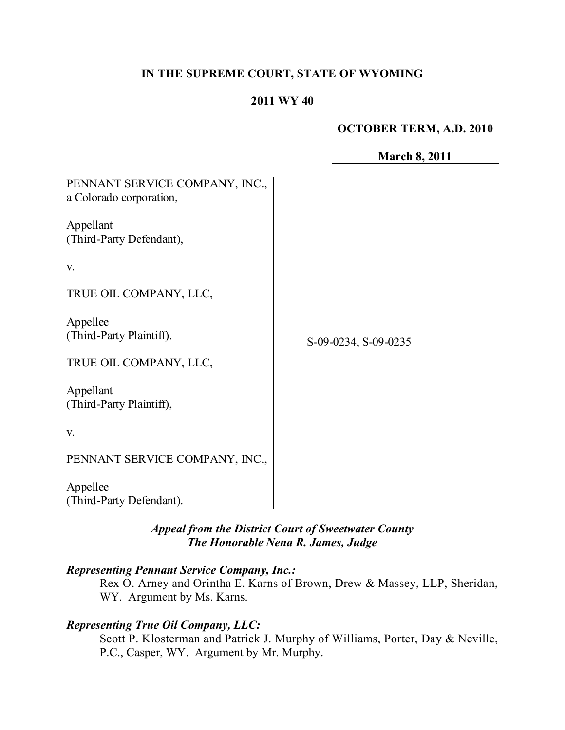## **IN THE SUPREME COURT, STATE OF WYOMING**

#### **2011 WY 40**

## **OCTOBER TERM, A.D. 2010**

**March 8, 2011**

| PENNANT SERVICE COMPANY, INC.,<br>a Colorado corporation, |                      |
|-----------------------------------------------------------|----------------------|
| Appellant<br>(Third-Party Defendant),                     |                      |
| V.                                                        |                      |
| TRUE OIL COMPANY, LLC,                                    |                      |
| Appellee<br>(Third-Party Plaintiff).                      | S-09-0234, S-09-0235 |
| TRUE OIL COMPANY, LLC,                                    |                      |
| Appellant<br>(Third-Party Plaintiff),                     |                      |
| V.                                                        |                      |
| PENNANT SERVICE COMPANY, INC.,                            |                      |
| Appellee<br>(Third-Party Defendant).                      |                      |

*Appeal from the District Court of Sweetwater County The Honorable Nena R. James, Judge* 

## *Representing Pennant Service Company, Inc.:*

Rex O. Arney and Orintha E. Karns of Brown, Drew & Massey, LLP, Sheridan, WY. Argument by Ms. Karns.

## *Representing True Oil Company, LLC:*

Scott P. Klosterman and Patrick J. Murphy of Williams, Porter, Day & Neville, P.C., Casper, WY. Argument by Mr. Murphy.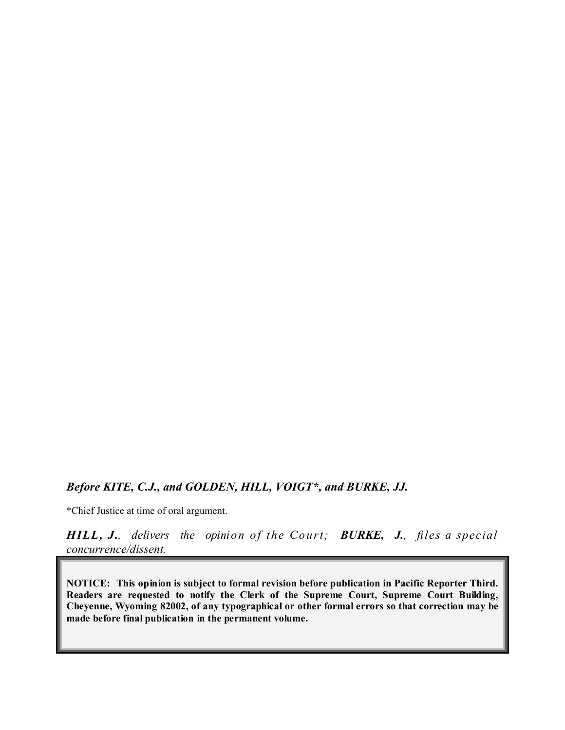## *Before KITE, C.J., and GOLDEN, HILL, VOIGT\*, and BURKE, JJ.*

\*Chief Justice at time of oral argument.

*HILL, J., delivers the opinion of the Court; BURKE, J., files a special concurrence/dissent.*

**NOTICE: This opinion is subject to formal revision before publication in Pacific Reporter Third. Readers are requested to notify the Clerk of the Supreme Court, Supreme Court Building, Cheyenne, Wyoming 82002, of any typographical or other formal errors so that correction may be made before final publication in the permanent volume.**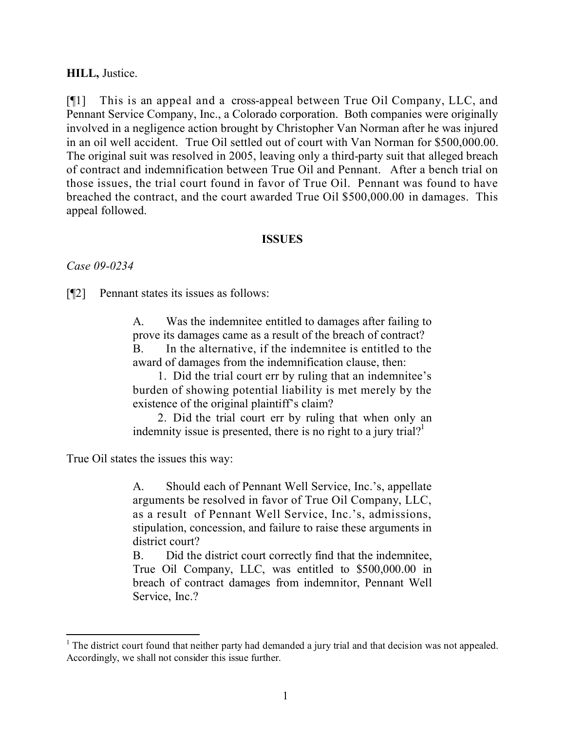#### **HILL,** Justice.

[¶1] This is an appeal and a cross-appeal between True Oil Company, LLC, and Pennant Service Company, Inc., a Colorado corporation. Both companies were originally involved in a negligence action brought by Christopher Van Norman after he was injured in an oil well accident. True Oil settled out of court with Van Norman for \$500,000.00. The original suit was resolved in 2005, leaving only a third-party suit that alleged breach of contract and indemnification between True Oil and Pennant. After a bench trial on those issues, the trial court found in favor of True Oil. Pennant was found to have breached the contract, and the court awarded True Oil \$500,000.00 in damages. This appeal followed.

#### **ISSUES**

*Case 09-0234*

[¶2] Pennant states its issues as follows:

A. Was the indemnitee entitled to damages after failing to prove its damages came as a result of the breach of contract? B. In the alternative, if the indemnitee is entitled to the award of damages from the indemnification clause, then:

1. Did the trial court err by ruling that an indemnitee's burden of showing potential liability is met merely by the existence of the original plaintiff's claim?

2. Did the trial court err by ruling that when only an indemnity issue is presented, there is no right to a jury trial?<sup>1</sup>

True Oil states the issues this way:

 $\overline{a}$ 

A. Should each of Pennant Well Service, Inc.'s, appellate arguments be resolved in favor of True Oil Company, LLC, as a result of Pennant Well Service, Inc.'s, admissions, stipulation, concession, and failure to raise these arguments in district court?

B. Did the district court correctly find that the indemnitee, True Oil Company, LLC, was entitled to \$500,000.00 in breach of contract damages from indemnitor, Pennant Well Service, Inc.?

 $<sup>1</sup>$  The district court found that neither party had demanded a jury trial and that decision was not appealed.</sup> Accordingly, we shall not consider this issue further.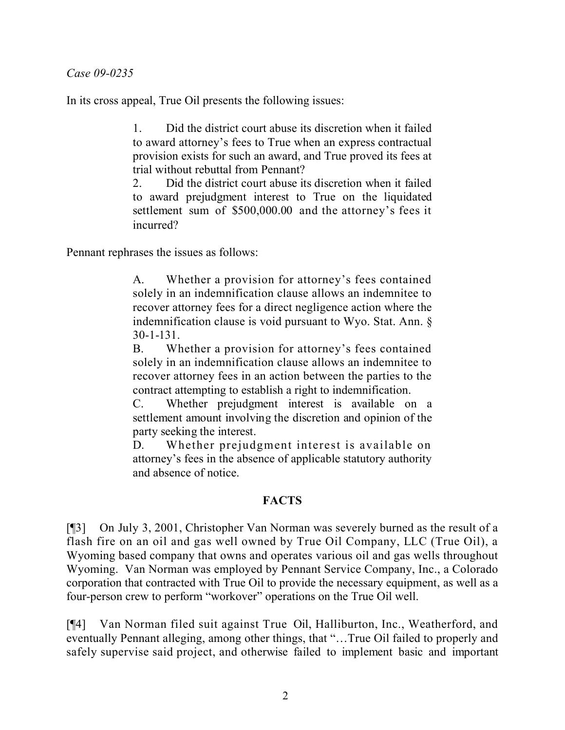#### *Case 09-0235*

In its cross appeal, True Oil presents the following issues:

1. Did the district court abuse its discretion when it failed to award attorney's fees to True when an express contractual provision exists for such an award, and True proved its fees at trial without rebuttal from Pennant?

2. Did the district court abuse its discretion when it failed to award prejudgment interest to True on the liquidated settlement sum of \$500,000.00 and the attorney's fees it incurred?

Pennant rephrases the issues as follows:

A. Whether a provision for attorney's fees contained solely in an indemnification clause allows an indemnitee to recover attorney fees for a direct negligence action where the indemnification clause is void pursuant to Wyo. Stat. Ann. § 30-1-131.

B. Whether a provision for attorney's fees contained solely in an indemnification clause allows an indemnitee to recover attorney fees in an action between the parties to the contract attempting to establish a right to indemnification.

C. Whether prejudgment interest is available on a settlement amount involving the discretion and opinion of the party seeking the interest.

D. Whether prejudgment interest is available on attorney's fees in the absence of applicable statutory authority and absence of notice.

## **FACTS**

[¶3] On July 3, 2001, Christopher Van Norman was severely burned as the result of a flash fire on an oil and gas well owned by True Oil Company, LLC (True Oil), a Wyoming based company that owns and operates various oil and gas wells throughout Wyoming. Van Norman was employed by Pennant Service Company, Inc., a Colorado corporation that contracted with True Oil to provide the necessary equipment, as well as a four-person crew to perform "workover" operations on the True Oil well.

[¶4] Van Norman filed suit against True Oil, Halliburton, Inc., Weatherford, and eventually Pennant alleging, among other things, that "…True Oil failed to properly and safely supervise said project, and otherwise failed to implement basic and important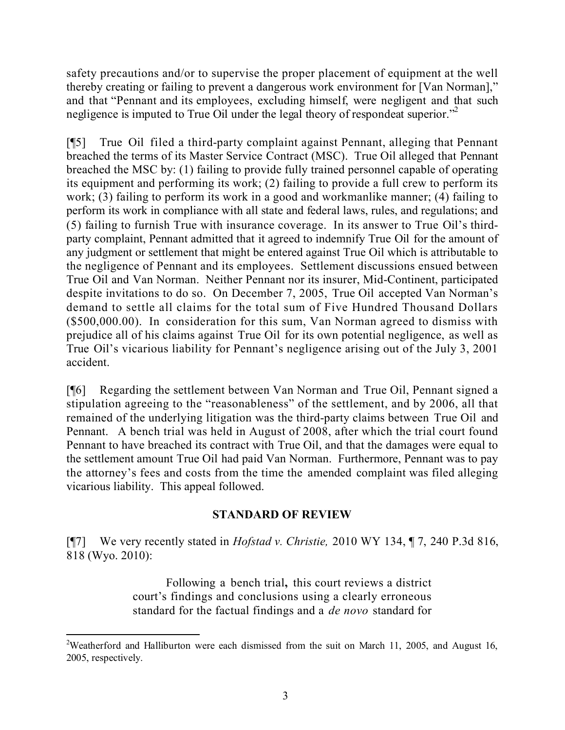safety precautions and/or to supervise the proper placement of equipment at the well thereby creating or failing to prevent a dangerous work environment for [Van Norman]," and that "Pennant and its employees, excluding himself, were negligent and that such negligence is imputed to True Oil under the legal theory of respondeat superior."<sup>2</sup>

[¶5] True Oil filed a third-party complaint against Pennant, alleging that Pennant breached the terms of its Master Service Contract (MSC). True Oil alleged that Pennant breached the MSC by: (1) failing to provide fully trained personnel capable of operating its equipment and performing its work; (2) failing to provide a full crew to perform its work; (3) failing to perform its work in a good and workmanlike manner; (4) failing to perform its work in compliance with all state and federal laws, rules, and regulations; and (5) failing to furnish True with insurance coverage. In its answer to True Oil's thirdparty complaint, Pennant admitted that it agreed to indemnify True Oil for the amount of any judgment or settlement that might be entered against True Oil which is attributable to the negligence of Pennant and its employees. Settlement discussions ensued between True Oil and Van Norman. Neither Pennant nor its insurer, Mid-Continent, participated despite invitations to do so. On December 7, 2005, True Oil accepted Van Norman's demand to settle all claims for the total sum of Five Hundred Thousand Dollars (\$500,000.00). In consideration for this sum, Van Norman agreed to dismiss with prejudice all of his claims against True Oil for its own potential negligence, as well as True Oil's vicarious liability for Pennant's negligence arising out of the July 3, 2001 accident.

[¶6] Regarding the settlement between Van Norman and True Oil, Pennant signed a stipulation agreeing to the "reasonableness" of the settlement, and by 2006, all that remained of the underlying litigation was the third-party claims between True Oil and Pennant. A bench trial was held in August of 2008, after which the trial court found Pennant to have breached its contract with True Oil, and that the damages were equal to the settlement amount True Oil had paid Van Norman. Furthermore, Pennant was to pay the attorney's fees and costs from the time the amended complaint was filed alleging vicarious liability. This appeal followed.

## **STANDARD OF REVIEW**

[¶7] We very recently stated in *Hofstad v. Christie,* 2010 WY 134, ¶ 7, 240 P.3d 816, 818 (Wyo. 2010):

> Following a bench trial**,** this court reviews a district court's findings and conclusions using a clearly erroneous standard for the factual findings and a *de novo* standard for

 $\overline{a}$ 

<sup>&</sup>lt;sup>2</sup>Weatherford and Halliburton were each dismissed from the suit on March 11, 2005, and August 16, 2005, respectively.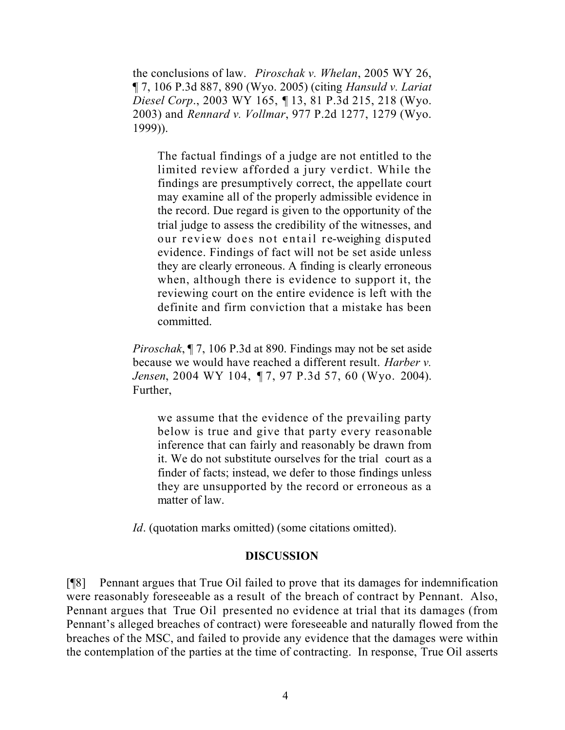the conclusions of law. *Piroschak v. Whelan*, 2005 WY 26, ¶ 7, 106 P.3d 887, 890 (Wyo. 2005) (citing *Hansuld v. Lariat Diesel Corp*., 2003 WY 165, ¶ 13, 81 P.3d 215, 218 (Wyo. 2003) and *Rennard v. Vollmar*, 977 P.2d 1277, 1279 (Wyo. 1999)).

The factual findings of a judge are not entitled to the limited review afforded a jury verdict. While the findings are presumptively correct, the appellate court may examine all of the properly admissible evidence in the record. Due regard is given to the opportunity of the trial judge to assess the credibility of the witnesses, and our review does not entail re-weighing disputed evidence. Findings of fact will not be set aside unless they are clearly erroneous. A finding is clearly erroneous when, although there is evidence to support it, the reviewing court on the entire evidence is left with the definite and firm conviction that a mistake has been committed.

*Piroschak*, ¶ 7, 106 P.3d at 890. Findings may not be set aside because we would have reached a different result. *Harber v. Jensen*, 2004 WY 104, ¶ 7, 97 P.3d 57, 60 (Wyo. 2004). Further,

we assume that the evidence of the prevailing party below is true and give that party every reasonable inference that can fairly and reasonably be drawn from it. We do not substitute ourselves for the trial court as a finder of facts; instead, we defer to those findings unless they are unsupported by the record or erroneous as a matter of law.

*Id.* (quotation marks omitted) (some citations omitted).

## **DISCUSSION**

[¶8] Pennant argues that True Oil failed to prove that its damages for indemnification were reasonably foreseeable as a result of the breach of contract by Pennant. Also, Pennant argues that True Oil presented no evidence at trial that its damages (from Pennant's alleged breaches of contract) were foreseeable and naturally flowed from the breaches of the MSC, and failed to provide any evidence that the damages were within the contemplation of the parties at the time of contracting. In response, True Oil asserts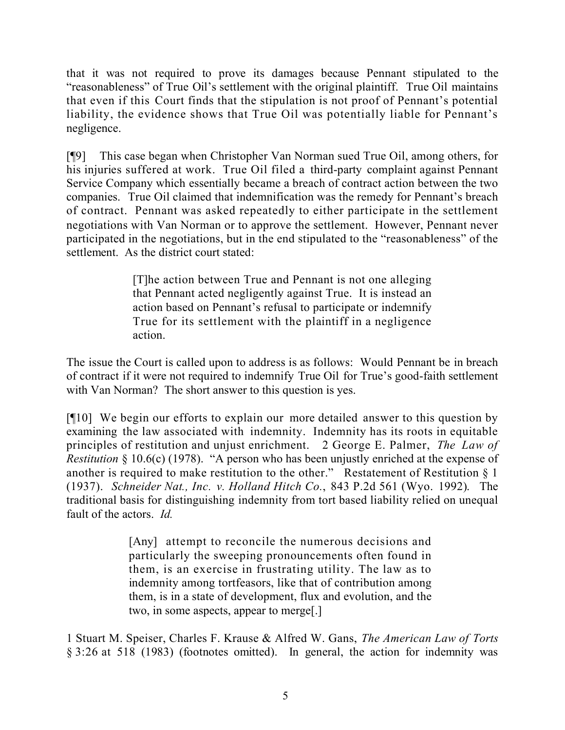that it was not required to prove its damages because Pennant stipulated to the "reasonableness" of True Oil's settlement with the original plaintiff. True Oil maintains that even if this Court finds that the stipulation is not proof of Pennant's potential liability, the evidence shows that True Oil was potentially liable for Pennant's negligence.

[¶9] This case began when Christopher Van Norman sued True Oil, among others, for his injuries suffered at work. True Oil filed a third-party complaint against Pennant Service Company which essentially became a breach of contract action between the two companies. True Oil claimed that indemnification was the remedy for Pennant's breach of contract. Pennant was asked repeatedly to either participate in the settlement negotiations with Van Norman or to approve the settlement. However, Pennant never participated in the negotiations, but in the end stipulated to the "reasonableness" of the settlement. As the district court stated:

> [T]he action between True and Pennant is not one alleging that Pennant acted negligently against True. It is instead an action based on Pennant's refusal to participate or indemnify True for its settlement with the plaintiff in a negligence action.

The issue the Court is called upon to address is as follows: Would Pennant be in breach of contract if it were not required to indemnify True Oil for True's good-faith settlement with Van Norman? The short answer to this question is yes.

[¶10] We begin our efforts to explain our more detailed answer to this question by examining the law associated with indemnity. Indemnity has its roots in equitable principles of restitution and unjust enrichment. 2 George E. Palmer, *The Law of Restitution* § 10.6(c) (1978). "A person who has been unjustly enriched at the expense of another is required to make restitution to the other." Restatement of Restitution § 1 (1937). *Schneider Nat., Inc. v. Holland Hitch Co.*, 843 P.2d 561 (Wyo. 1992). The traditional basis for distinguishing indemnity from tort based liability relied on unequal fault of the actors. *Id.*

> [Any] attempt to reconcile the numerous decisions and particularly the sweeping pronouncements often found in them, is an exercise in frustrating utility. The law as to indemnity among tortfeasors, like that of contribution among them, is in a state of development, flux and evolution, and the two, in some aspects, appear to merge[.]

1 Stuart M. Speiser, Charles F. Krause & Alfred W. Gans, *The American Law of Torts* § 3:26 at 518 (1983) (footnotes omitted). In general, the action for indemnity was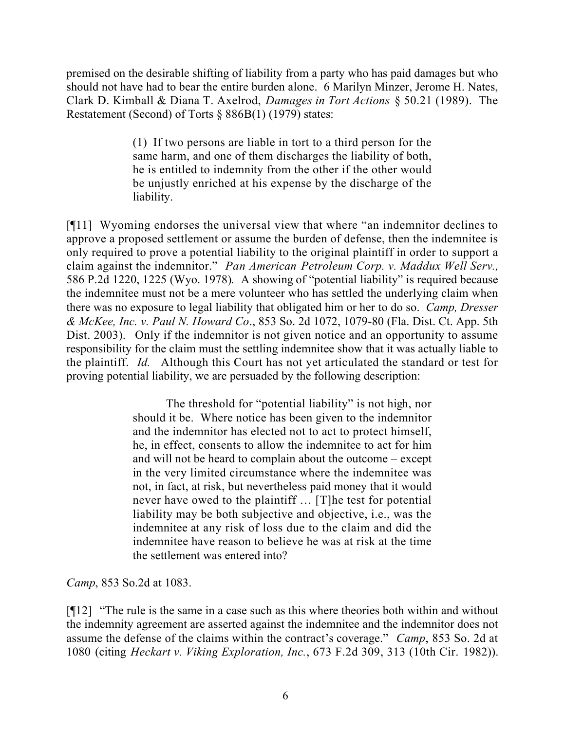premised on the desirable shifting of liability from a party who has paid damages but who should not have had to bear the entire burden alone. 6 Marilyn Minzer, Jerome H. Nates, Clark D. Kimball & Diana T. Axelrod, *Damages in Tort Actions* § 50.21 (1989). The Restatement (Second) of Torts § 886B(1) (1979) states:

> (1) If two persons are liable in tort to a third person for the same harm, and one of them discharges the liability of both, he is entitled to indemnity from the other if the other would be unjustly enriched at his expense by the discharge of the liability.

[¶11] Wyoming endorses the universal view that where "an indemnitor declines to approve a proposed settlement or assume the burden of defense, then the indemnitee is only required to prove a potential liability to the original plaintiff in order to support a claim against the indemnitor." *Pan American Petroleum Corp. v. Maddux Well Serv.,*  586 P.2d 1220, 1225 (Wyo. 1978)*.* A showing of "potential liability" is required because the indemnitee must not be a mere volunteer who has settled the underlying claim when there was no exposure to legal liability that obligated him or her to do so. *Camp, Dresser & McKee, Inc. v. Paul N. Howard Co*., 853 So. 2d 1072, 1079-80 (Fla. Dist. Ct. App. 5th Dist. 2003). Only if the indemnitor is not given notice and an opportunity to assume responsibility for the claim must the settling indemnitee show that it was actually liable to the plaintiff. *Id.* Although this Court has not yet articulated the standard or test for proving potential liability, we are persuaded by the following description:

> The threshold for "potential liability" is not high, nor should it be. Where notice has been given to the indemnitor and the indemnitor has elected not to act to protect himself, he, in effect, consents to allow the indemnitee to act for him and will not be heard to complain about the outcome – except in the very limited circumstance where the indemnitee was not, in fact, at risk, but nevertheless paid money that it would never have owed to the plaintiff … [T]he test for potential liability may be both subjective and objective, i.e., was the indemnitee at any risk of loss due to the claim and did the indemnitee have reason to believe he was at risk at the time the settlement was entered into?

*Camp*, 853 So.2d at 1083.

[¶12] "The rule is the same in a case such as this where theories both within and without the indemnity agreement are asserted against the indemnitee and the indemnitor does not assume the defense of the claims within the contract's coverage." *Camp*, 853 So. 2d at 1080 (citing *Heckart v. Viking Exploration, Inc.*, 673 F.2d 309, 313 (10th Cir. 1982)).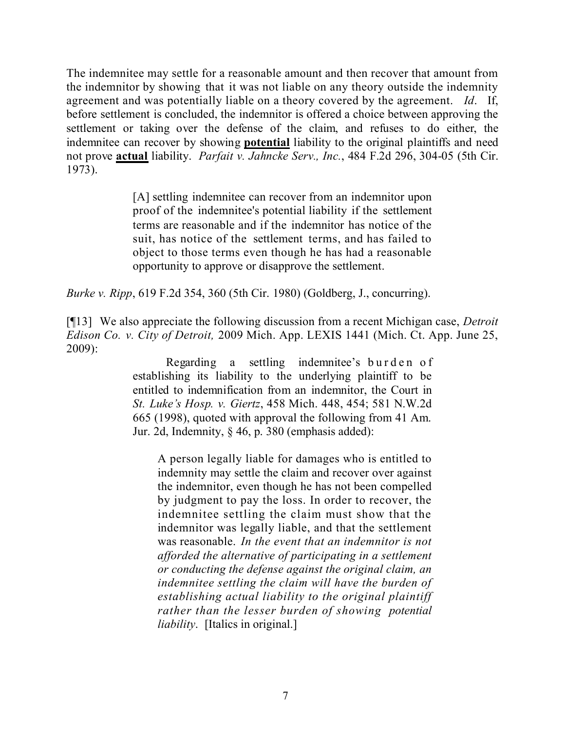The indemnitee may settle for a reasonable amount and then recover that amount from the indemnitor by showing that it was not liable on any theory outside the indemnity agreement and was potentially liable on a theory covered by the agreement. *Id*. If, before settlement is concluded, the indemnitor is offered a choice between approving the settlement or taking over the defense of the claim, and refuses to do either, the indemnitee can recover by showing **potential** liability to the original plaintiffs and need not prove **actual** liability. *Parfait v. Jahncke Serv., Inc.*, 484 F.2d 296, 304-05 (5th Cir. 1973).

> [A] settling indemnitee can recover from an indemnitor upon proof of the indemnitee's potential liability if the settlement terms are reasonable and if the indemnitor has notice of the suit, has notice of the settlement terms, and has failed to object to those terms even though he has had a reasonable opportunity to approve or disapprove the settlement.

*Burke v. Ripp*, 619 F.2d 354, 360 (5th Cir. 1980) (Goldberg, J., concurring).

[¶13] We also appreciate the following discussion from a recent Michigan case, *Detroit Edison Co. v. City of Detroit,* 2009 Mich. App. LEXIS 1441 (Mich. Ct. App. June 25, 2009):

> Regarding a settling indemnitee's burden of establishing its liability to the underlying plaintiff to be entitled to indemnification from an indemnitor, the Court in *St. Luke's Hosp. v. Giertz*, 458 Mich. 448, 454; 581 N.W.2d 665 (1998), quoted with approval the following from 41 Am. Jur. 2d, Indemnity, § 46, p. 380 (emphasis added):

A person legally liable for damages who is entitled to indemnity may settle the claim and recover over against the indemnitor, even though he has not been compelled by judgment to pay the loss. In order to recover, the indemnitee settling the claim must show that the indemnitor was legally liable, and that the settlement was reasonable. *In the event that an indemnitor is not afforded the alternative of participating in a settlement or conducting the defense against the original claim, an indemnitee settling the claim will have the burden of establishing actual liability to the original plaintiff rather than the lesser burden of showing potential liability*. [Italics in original.]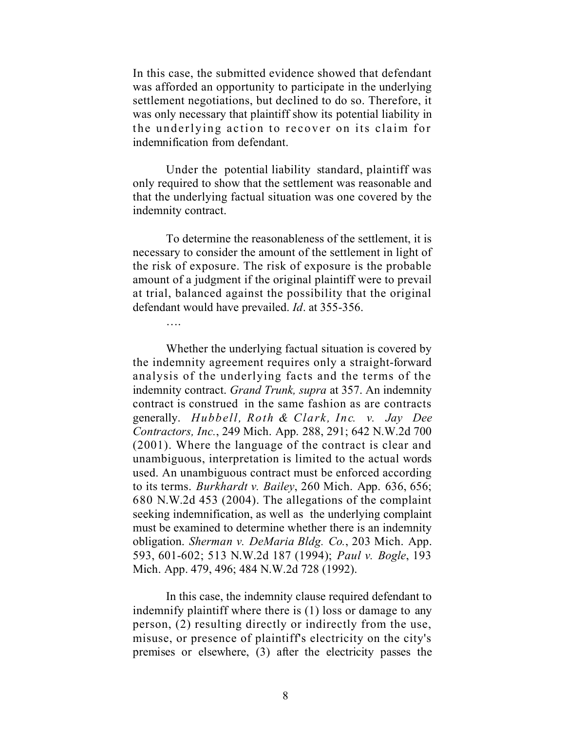In this case, the submitted evidence showed that defendant was afforded an opportunity to participate in the underlying settlement negotiations, but declined to do so. Therefore, it was only necessary that plaintiff show its potential liability in the underlying action to recover on its claim for indemnification from defendant.

Under the potential liability standard, plaintiff was only required to show that the settlement was reasonable and that the underlying factual situation was one covered by the indemnity contract.

To determine the reasonableness of the settlement, it is necessary to consider the amount of the settlement in light of the risk of exposure. The risk of exposure is the probable amount of a judgment if the original plaintiff were to prevail at trial, balanced against the possibility that the original defendant would have prevailed. *Id*. at 355-356.

Whether the underlying factual situation is covered by the indemnity agreement requires only a straight-forward analysis of the underlying facts and the terms of the indemnity contract. *Grand Trunk, supra* at 357. An indemnity contract is construed in the same fashion as are contracts generally. *Hubbell, Roth & Clark, Inc. v. Jay Dee Contractors, Inc.*, 249 Mich. App. 288, 291; 642 N.W.2d 700 (2001). Where the language of the contract is clear and unambiguous, interpretation is limited to the actual words used. An unambiguous contract must be enforced according to its terms. *Burkhardt v. Bailey*, 260 Mich. App. 636, 656; 680 N.W.2d 453 (2004). The allegations of the complaint seeking indemnification, as well as the underlying complaint must be examined to determine whether there is an indemnity obligation. *Sherman v. DeMaria Bldg. Co.*, 203 Mich. App. 593, 601-602; 513 N.W.2d 187 (1994); *Paul v. Bogle*, 193 Mich. App. 479, 496; 484 N.W.2d 728 (1992).

In this case, the indemnity clause required defendant to indemnify plaintiff where there is (1) loss or damage to any person, (2) resulting directly or indirectly from the use, misuse, or presence of plaintiff's electricity on the city's premises or elsewhere, (3) after the electricity passes the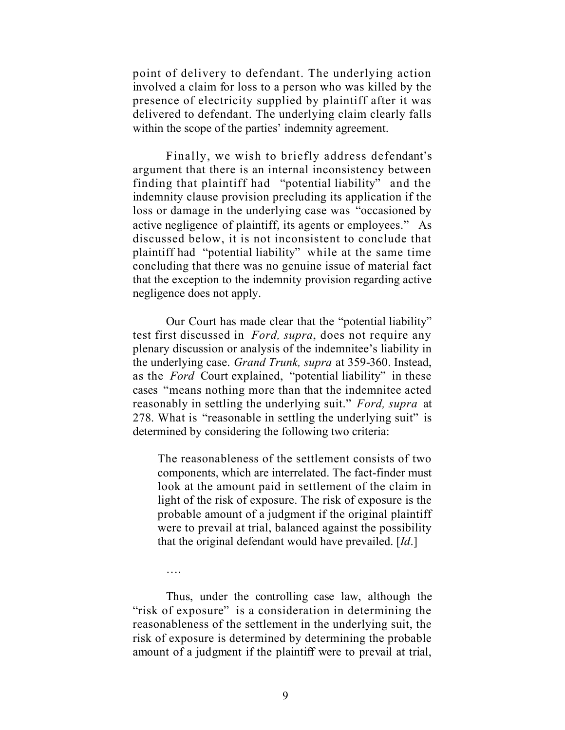point of delivery to defendant. The underlying action involved a claim for loss to a person who was killed by the presence of electricity supplied by plaintiff after it was delivered to defendant. The underlying claim clearly falls within the scope of the parties' indemnity agreement.

Finally, we wish to briefly address defendant's argument that there is an internal inconsistency between finding that plaintiff had "potential liability" and the indemnity clause provision precluding its application if the loss or damage in the underlying case was "occasioned by active negligence of plaintiff, its agents or employees." As discussed below, it is not inconsistent to conclude that plaintiff had "potential liability" while at the same time concluding that there was no genuine issue of material fact that the exception to the indemnity provision regarding active negligence does not apply.

Our Court has made clear that the "potential liability" test first discussed in *Ford, supra*, does not require any plenary discussion or analysis of the indemnitee's liability in the underlying case. *Grand Trunk, supra* at 359-360. Instead, as the *Ford* Court explained, "potential liability" in these cases "means nothing more than that the indemnitee acted reasonably in settling the underlying suit." *Ford, supra* at 278. What is "reasonable in settling the underlying suit" is determined by considering the following two criteria:

The reasonableness of the settlement consists of two components, which are interrelated. The fact-finder must look at the amount paid in settlement of the claim in light of the risk of exposure. The risk of exposure is the probable amount of a judgment if the original plaintiff were to prevail at trial, balanced against the possibility that the original defendant would have prevailed. [*Id*.]

Thus, under the controlling case law, although the "risk of exposure" is a consideration in determining the reasonableness of the settlement in the underlying suit, the risk of exposure is determined by determining the probable amount of a judgment if the plaintiff were to prevail at trial,

….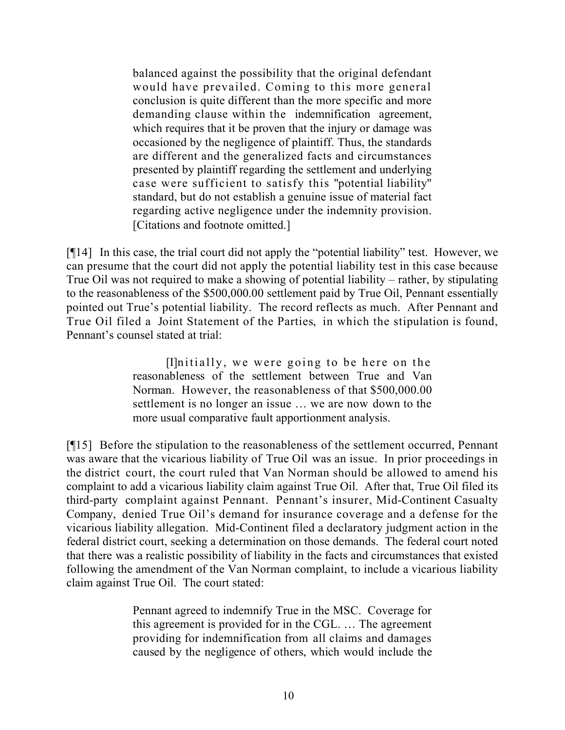balanced against the possibility that the original defendant would have prevailed. Coming to this more general conclusion is quite different than the more specific and more demanding clause within the indemnification agreement, which requires that it be proven that the injury or damage was occasioned by the negligence of plaintiff. Thus, the standards are different and the generalized facts and circumstances presented by plaintiff regarding the settlement and underlying case were sufficient to satisfy this "potential liability" standard, but do not establish a genuine issue of material fact regarding active negligence under the indemnity provision. [Citations and footnote omitted.]

[¶14] In this case, the trial court did not apply the "potential liability" test. However, we can presume that the court did not apply the potential liability test in this case because True Oil was not required to make a showing of potential liability – rather, by stipulating to the reasonableness of the \$500,000.00 settlement paid by True Oil, Pennant essentially pointed out True's potential liability. The record reflects as much. After Pennant and True Oil filed a Joint Statement of the Parties, in which the stipulation is found, Pennant's counsel stated at trial:

> [I]nitially, we were going to be here on the reasonableness of the settlement between True and Van Norman. However, the reasonableness of that \$500,000.00 settlement is no longer an issue … we are now down to the more usual comparative fault apportionment analysis.

[¶15] Before the stipulation to the reasonableness of the settlement occurred, Pennant was aware that the vicarious liability of True Oil was an issue. In prior proceedings in the district court, the court ruled that Van Norman should be allowed to amend his complaint to add a vicarious liability claim against True Oil. After that, True Oil filed its third-party complaint against Pennant. Pennant's insurer, Mid-Continent Casualty Company, denied True Oil's demand for insurance coverage and a defense for the vicarious liability allegation. Mid-Continent filed a declaratory judgment action in the federal district court, seeking a determination on those demands. The federal court noted that there was a realistic possibility of liability in the facts and circumstances that existed following the amendment of the Van Norman complaint, to include a vicarious liability claim against True Oil. The court stated:

> Pennant agreed to indemnify True in the MSC. Coverage for this agreement is provided for in the CGL. … The agreement providing for indemnification from all claims and damages caused by the negligence of others, which would include the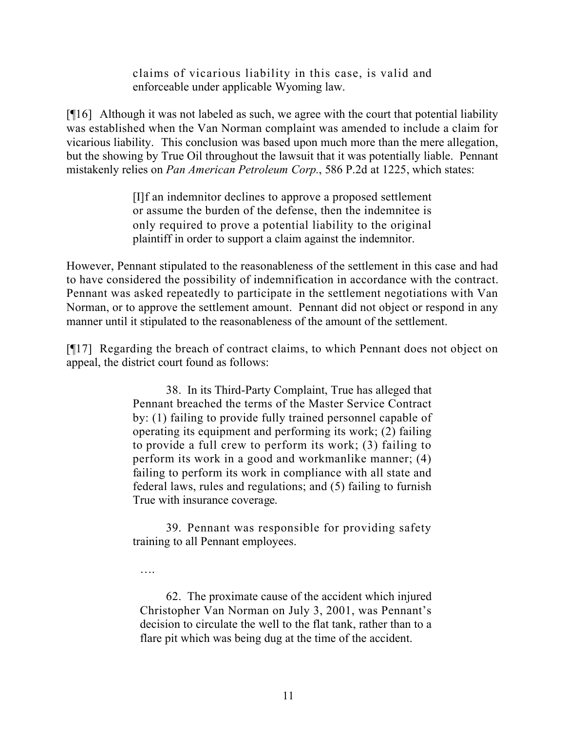claims of vicarious liability in this case, is valid and enforceable under applicable Wyoming law.

[¶16] Although it was not labeled as such, we agree with the court that potential liability was established when the Van Norman complaint was amended to include a claim for vicarious liability. This conclusion was based upon much more than the mere allegation, but the showing by True Oil throughout the lawsuit that it was potentially liable. Pennant mistakenly relies on *Pan American Petroleum Corp.*, 586 P.2d at 1225, which states:

> [I]f an indemnitor declines to approve a proposed settlement or assume the burden of the defense, then the indemnitee is only required to prove a potential liability to the original plaintiff in order to support a claim against the indemnitor.

However, Pennant stipulated to the reasonableness of the settlement in this case and had to have considered the possibility of indemnification in accordance with the contract. Pennant was asked repeatedly to participate in the settlement negotiations with Van Norman, or to approve the settlement amount. Pennant did not object or respond in any manner until it stipulated to the reasonableness of the amount of the settlement.

[¶17] Regarding the breach of contract claims, to which Pennant does not object on appeal, the district court found as follows:

> 38. In its Third-Party Complaint, True has alleged that Pennant breached the terms of the Master Service Contract by: (1) failing to provide fully trained personnel capable of operating its equipment and performing its work; (2) failing to provide a full crew to perform its work; (3) failing to perform its work in a good and workmanlike manner; (4) failing to perform its work in compliance with all state and federal laws, rules and regulations; and (5) failing to furnish True with insurance coverage.

> 39. Pennant was responsible for providing safety training to all Pennant employees.

….

62. The proximate cause of the accident which injured Christopher Van Norman on July 3, 2001, was Pennant's decision to circulate the well to the flat tank, rather than to a flare pit which was being dug at the time of the accident.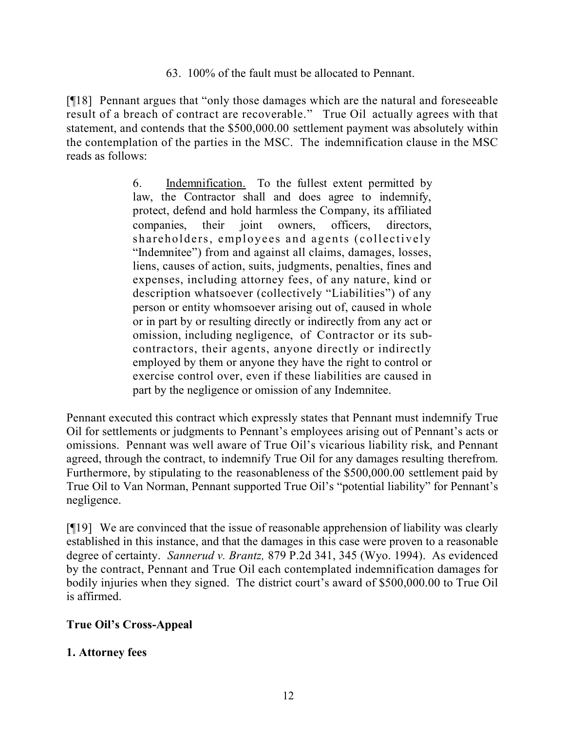63. 100% of the fault must be allocated to Pennant.

[¶18] Pennant argues that "only those damages which are the natural and foreseeable result of a breach of contract are recoverable." True Oil actually agrees with that statement, and contends that the \$500,000.00 settlement payment was absolutely within the contemplation of the parties in the MSC. The indemnification clause in the MSC reads as follows:

> 6. Indemnification. To the fullest extent permitted by law, the Contractor shall and does agree to indemnify, protect, defend and hold harmless the Company, its affiliated companies, their joint owners, officers, directors, shareholders, employees and agents (collectively "Indemnitee") from and against all claims, damages, losses, liens, causes of action, suits, judgments, penalties, fines and expenses, including attorney fees, of any nature, kind or description whatsoever (collectively "Liabilities") of any person or entity whomsoever arising out of, caused in whole or in part by or resulting directly or indirectly from any act or omission, including negligence, of Contractor or its subcontractors, their agents, anyone directly or indirectly employed by them or anyone they have the right to control or exercise control over, even if these liabilities are caused in part by the negligence or omission of any Indemnitee.

Pennant executed this contract which expressly states that Pennant must indemnify True Oil for settlements or judgments to Pennant's employees arising out of Pennant's acts or omissions. Pennant was well aware of True Oil's vicarious liability risk, and Pennant agreed, through the contract, to indemnify True Oil for any damages resulting therefrom. Furthermore, by stipulating to the reasonableness of the \$500,000.00 settlement paid by True Oil to Van Norman, Pennant supported True Oil's "potential liability" for Pennant's negligence.

[¶19] We are convinced that the issue of reasonable apprehension of liability was clearly established in this instance, and that the damages in this case were proven to a reasonable degree of certainty. *Sannerud v. Brantz,* 879 P.2d 341, 345 (Wyo. 1994). As evidenced by the contract, Pennant and True Oil each contemplated indemnification damages for bodily injuries when they signed. The district court's award of \$500,000.00 to True Oil is affirmed.

# **True Oil's Cross-Appeal**

# **1. Attorney fees**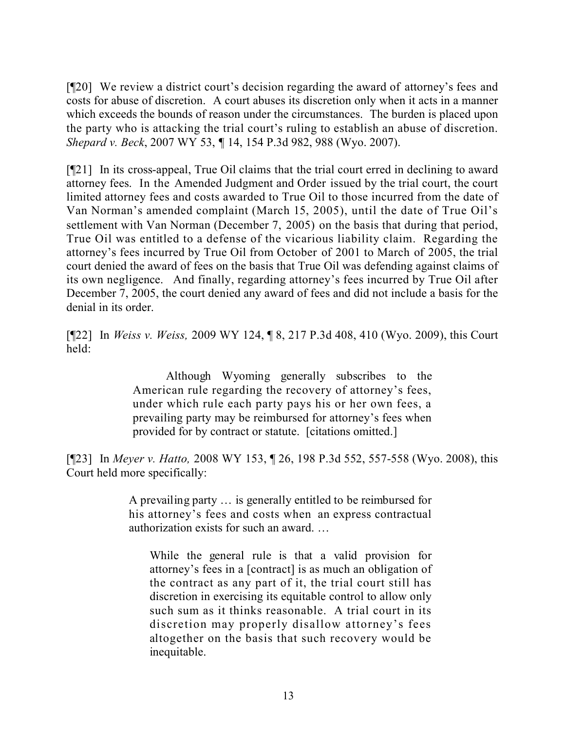[¶20] We review a district court's decision regarding the award of attorney's fees and costs for abuse of discretion. A court abuses its discretion only when it acts in a manner which exceeds the bounds of reason under the circumstances. The burden is placed upon the party who is attacking the trial court's ruling to establish an abuse of discretion. *Shepard v. Beck*, 2007 WY 53, *¶* 14, 154 P.3d 982, 988 (Wyo. 2007).

[¶21] In its cross-appeal, True Oil claims that the trial court erred in declining to award attorney fees. In the Amended Judgment and Order issued by the trial court, the court limited attorney fees and costs awarded to True Oil to those incurred from the date of Van Norman's amended complaint (March 15, 2005), until the date of True Oil's settlement with Van Norman (December 7, 2005) on the basis that during that period, True Oil was entitled to a defense of the vicarious liability claim. Regarding the attorney's fees incurred by True Oil from October of 2001 to March of 2005, the trial court denied the award of fees on the basis that True Oil was defending against claims of its own negligence. And finally, regarding attorney's fees incurred by True Oil after December 7, 2005, the court denied any award of fees and did not include a basis for the denial in its order.

[¶22] In *Weiss v. Weiss,* 2009 WY 124, ¶ 8, 217 P.3d 408, 410 (Wyo. 2009), this Court held:

> Although Wyoming generally subscribes to the American rule regarding the recovery of attorney's fees, under which rule each party pays his or her own fees, a prevailing party may be reimbursed for attorney's fees when provided for by contract or statute. [citations omitted.]

[¶23] In *Meyer v. Hatto,* 2008 WY 153, ¶ 26, 198 P.3d 552, 557-558 (Wyo. 2008), this Court held more specifically:

> A prevailing party … is generally entitled to be reimbursed for his attorney's fees and costs when an express contractual authorization exists for such an award. …

While the general rule is that a valid provision for attorney's fees in a [contract] is as much an obligation of the contract as any part of it, the trial court still has discretion in exercising its equitable control to allow only such sum as it thinks reasonable. A trial court in its discretion may properly disallow attorney's fees altogether on the basis that such recovery would be inequitable.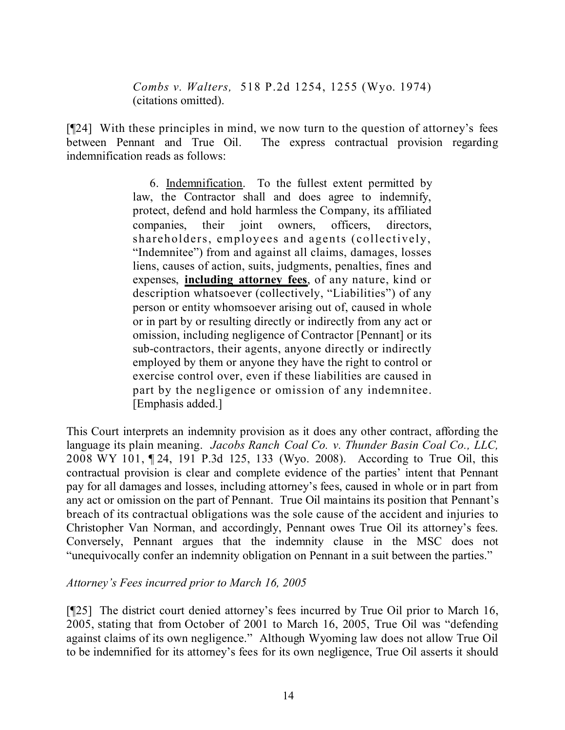*Combs v. Walters,* 518 P.2d 1254, 1255 (Wyo. 1974) (citations omitted).

[¶24] With these principles in mind, we now turn to the question of attorney's fees between Pennant and True Oil. The express contractual provision regarding indemnification reads as follows:

> 6. Indemnification. To the fullest extent permitted by law, the Contractor shall and does agree to indemnify, protect, defend and hold harmless the Company, its affiliated companies, their joint owners, officers, directors, shareholders, employees and agents (collectively, "Indemnitee") from and against all claims, damages, losses liens, causes of action, suits, judgments, penalties, fines and expenses, **including attorney fees**, of any nature, kind or description whatsoever (collectively, "Liabilities") of any person or entity whomsoever arising out of, caused in whole or in part by or resulting directly or indirectly from any act or omission, including negligence of Contractor [Pennant] or its sub-contractors, their agents, anyone directly or indirectly employed by them or anyone they have the right to control or exercise control over, even if these liabilities are caused in part by the negligence or omission of any indemnitee. [Emphasis added.]

This Court interprets an indemnity provision as it does any other contract, affording the language its plain meaning. *Jacobs Ranch Coal Co. v. Thunder Basin Coal Co., LLC,* 2008 WY 101, ¶ 24, 191 P.3d 125, 133 (Wyo. 2008). According to True Oil, this contractual provision is clear and complete evidence of the parties' intent that Pennant pay for all damages and losses, including attorney's fees, caused in whole or in part from any act or omission on the part of Pennant. True Oil maintains its position that Pennant's breach of its contractual obligations was the sole cause of the accident and injuries to Christopher Van Norman, and accordingly, Pennant owes True Oil its attorney's fees. Conversely, Pennant argues that the indemnity clause in the MSC does not "unequivocally confer an indemnity obligation on Pennant in a suit between the parties."

## *Attorney's Fees incurred prior to March 16, 2005*

[¶25] The district court denied attorney's fees incurred by True Oil prior to March 16, 2005, stating that from October of 2001 to March 16, 2005, True Oil was "defending against claims of its own negligence." Although Wyoming law does not allow True Oil to be indemnified for its attorney's fees for its own negligence, True Oil asserts it should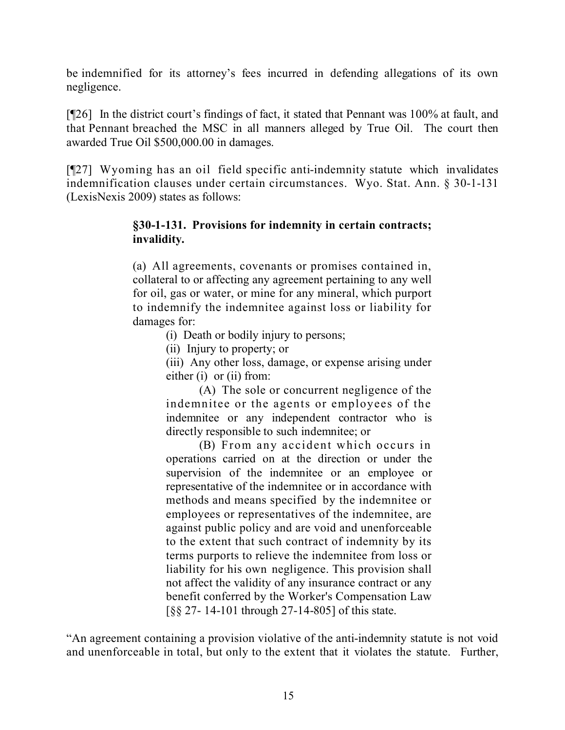be indemnified for its attorney's fees incurred in defending allegations of its own negligence.

[¶26] In the district court's findings of fact, it stated that Pennant was 100% at fault, and that Pennant breached the MSC in all manners alleged by True Oil. The court then awarded True Oil \$500,000.00 in damages.

[¶27] Wyoming has an oil field specific anti-indemnity statute which invalidates indemnification clauses under certain circumstances. Wyo. Stat. Ann. § 30-1-131 (LexisNexis 2009) states as follows:

#### **§30-1-131. Provisions for indemnity in certain contracts; invalidity.**

(a) All agreements, covenants or promises contained in, collateral to or affecting any agreement pertaining to any well for oil, gas or water, or mine for any mineral, which purport to indemnify the indemnitee against loss or liability for damages for:

- (i) Death or bodily injury to persons;
- (ii) Injury to property; or

(iii) Any other loss, damage, or expense arising under either (i) or (ii) from:

(A) The sole or concurrent negligence of the indemnitee or the agents or employees of the indemnitee or any independent contractor who is directly responsible to such indemnitee; or

(B) From any accident which occurs in operations carried on at the direction or under the supervision of the indemnitee or an employee or representative of the indemnitee or in accordance with methods and means specified by the indemnitee or employees or representatives of the indemnitee, are against public policy and are void and unenforceable to the extent that such contract of indemnity by its terms purports to relieve the indemnitee from loss or liability for his own negligence. This provision shall not affect the validity of any insurance contract or any benefit conferred by the Worker's Compensation Law [§§ 27- 14-101 through 27-14-805] of this state.

"An agreement containing a provision violative of the anti-indemnity statute is not void and unenforceable in total, but only to the extent that it violates the statute. Further,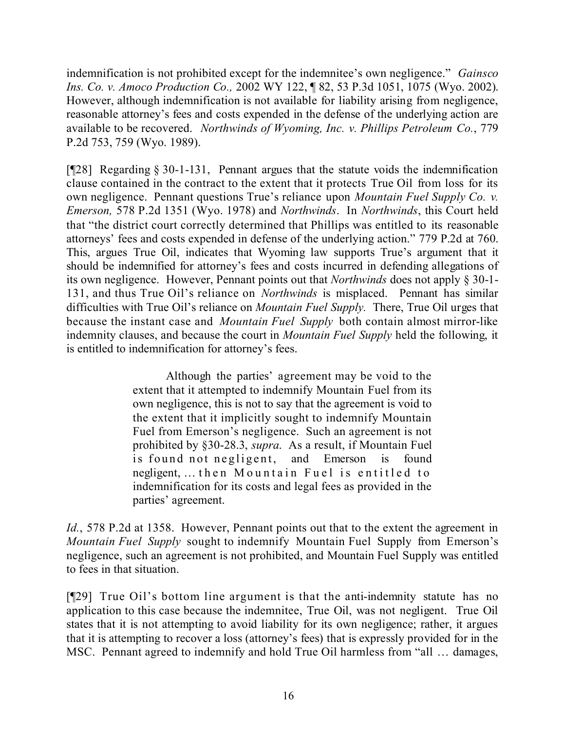indemnification is not prohibited except for the indemnitee's own negligence." *Gainsco Ins. Co. v. Amoco Production Co.,* 2002 WY 122, ¶ 82, 53 P.3d 1051, 1075 (Wyo. 2002). However, although indemnification is not available for liability arising from negligence, reasonable attorney's fees and costs expended in the defense of the underlying action are available to be recovered. *Northwinds of Wyoming, Inc. v. Phillips Petroleum Co.*, 779 P.2d 753, 759 (Wyo. 1989).

[¶28] Regarding § 30-1-131, Pennant argues that the statute voids the indemnification clause contained in the contract to the extent that it protects True Oil from loss for its own negligence. Pennant questions True's reliance upon *Mountain Fuel Supply Co. v. Emerson,* 578 P.2d 1351 (Wyo. 1978) and *Northwinds*. In *Northwinds*, this Court held that "the district court correctly determined that Phillips was entitled to its reasonable attorneys' fees and costs expended in defense of the underlying action." 779 P.2d at 760. This, argues True Oil, indicates that Wyoming law supports True's argument that it should be indemnified for attorney's fees and costs incurred in defending allegations of its own negligence. However, Pennant points out that *Northwinds* does not apply § 30-1- 131, and thus True Oil's reliance on *Northwinds* is misplaced. Pennant has similar difficulties with True Oil's reliance on *Mountain Fuel Supply.* There, True Oil urges that because the instant case and *Mountain Fuel Supply* both contain almost mirror-like indemnity clauses, and because the court in *Mountain Fuel Supply* held the following, it is entitled to indemnification for attorney's fees.

> Although the parties' agreement may be void to the extent that it attempted to indemnify Mountain Fuel from its own negligence, this is not to say that the agreement is void to the extent that it implicitly sought to indemnify Mountain Fuel from Emerson's negligence. Such an agreement is not prohibited by §30-28.3, *supra*. As a result, if Mountain Fuel is found not negligent, and Emerson is found negligent, … then Mountain Fuel is entitled to indemnification for its costs and legal fees as provided in the parties' agreement.

*Id.*, 578 P.2d at 1358. However, Pennant points out that to the extent the agreement in *Mountain Fuel Supply* sought to indemnify Mountain Fuel Supply from Emerson's negligence, such an agreement is not prohibited, and Mountain Fuel Supply was entitled to fees in that situation.

[¶29] True Oil's bottom line argument is that the anti-indemnity statute has no application to this case because the indemnitee, True Oil, was not negligent. True Oil states that it is not attempting to avoid liability for its own negligence; rather, it argues that it is attempting to recover a loss (attorney's fees) that is expressly provided for in the MSC. Pennant agreed to indemnify and hold True Oil harmless from "all … damages,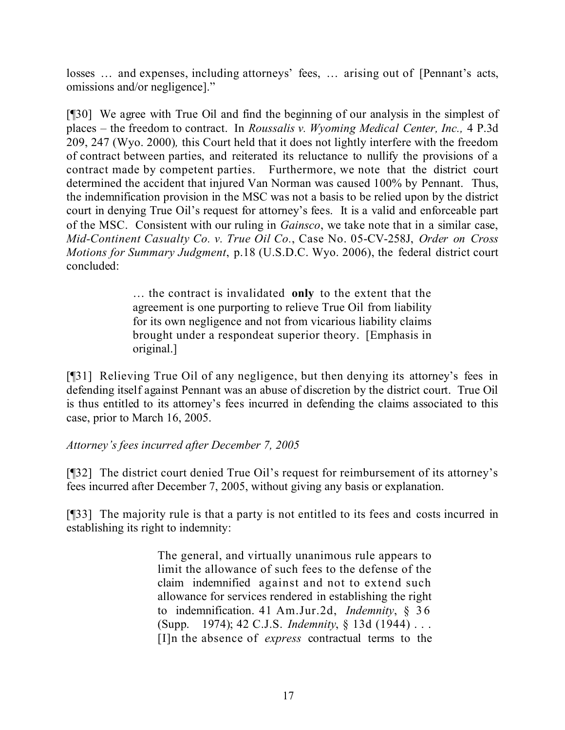losses … and expenses, including attorneys' fees, … arising out of [Pennant's acts, omissions and/or negligence]."

[¶30] We agree with True Oil and find the beginning of our analysis in the simplest of places – the freedom to contract. In *Roussalis v. Wyoming Medical Center, Inc.,* 4 P.3d 209, 247 (Wyo. 2000)*,* this Court held that it does not lightly interfere with the freedom of contract between parties, and reiterated its reluctance to nullify the provisions of a contract made by competent parties. Furthermore, we note that the district court determined the accident that injured Van Norman was caused 100% by Pennant. Thus, the indemnification provision in the MSC was not a basis to be relied upon by the district court in denying True Oil's request for attorney's fees. It is a valid and enforceable part of the MSC. Consistent with our ruling in *Gainsco*, we take note that in a similar case, *Mid-Continent Casualty Co. v. True Oil Co.*, Case No. 05-CV-258J, *Order on Cross Motions for Summary Judgment*, p.18 (U.S.D.C. Wyo. 2006), the federal district court concluded:

> … the contract is invalidated **only** to the extent that the agreement is one purporting to relieve True Oil from liability for its own negligence and not from vicarious liability claims brought under a respondeat superior theory. [Emphasis in original.]

[¶31] Relieving True Oil of any negligence, but then denying its attorney's fees in defending itself against Pennant was an abuse of discretion by the district court. True Oil is thus entitled to its attorney's fees incurred in defending the claims associated to this case, prior to March 16, 2005.

## *Attorney's fees incurred after December 7, 2005*

[¶32] The district court denied True Oil's request for reimbursement of its attorney's fees incurred after December 7, 2005, without giving any basis or explanation.

[¶33] The majority rule is that a party is not entitled to its fees and costs incurred in establishing its right to indemnity:

> The general, and virtually unanimous rule appears to limit the allowance of such fees to the defense of the claim indemnified against and not to extend such allowance for services rendered in establishing the right to indemnification. 41 Am.Jur.2d, *Indemnity*, § 36 (Supp. 1974); 42 C.J.S. *Indemnity*, § 13d (1944) . . . [I]n the absence of *express* contractual terms to the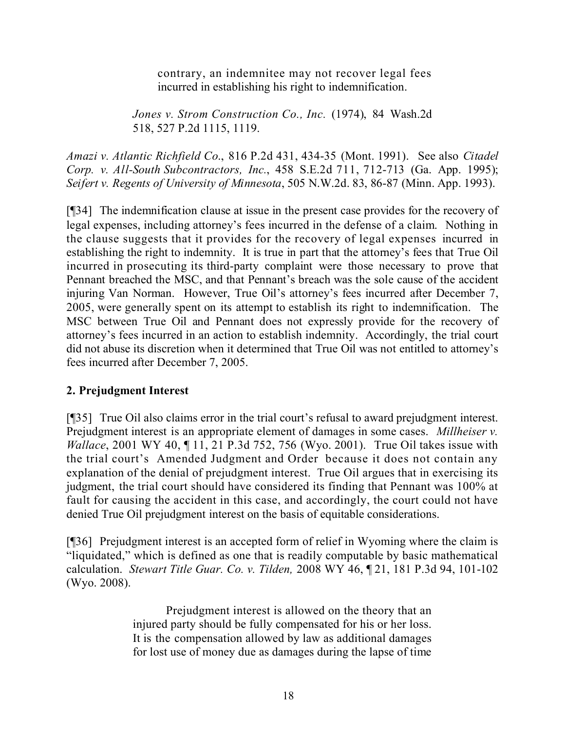contrary, an indemnitee may not recover legal fees incurred in establishing his right to indemnification.

*Jones v. Strom Construction Co., Inc.* (1974), 84 Wash.2d 518, 527 P.2d 1115, 1119.

*Amazi v. Atlantic Richfield Co*., 816 P.2d 431, 434-35 (Mont. 1991). See also *Citadel Corp. v. All-South Subcontractors, Inc.*, 458 S.E.2d 711, 712-713 (Ga. App. 1995); *Seifert v. Regents of University of Minnesota*, 505 N.W.2d. 83, 86-87 (Minn. App. 1993).

[¶34] The indemnification clause at issue in the present case provides for the recovery of legal expenses, including attorney's fees incurred in the defense of a claim. Nothing in the clause suggests that it provides for the recovery of legal expenses incurred in establishing the right to indemnity. It is true in part that the attorney's fees that True Oil incurred in prosecuting its third-party complaint were those necessary to prove that Pennant breached the MSC, and that Pennant's breach was the sole cause of the accident injuring Van Norman. However, True Oil's attorney's fees incurred after December 7, 2005, were generally spent on its attempt to establish its right to indemnification. The MSC between True Oil and Pennant does not expressly provide for the recovery of attorney's fees incurred in an action to establish indemnity. Accordingly, the trial court did not abuse its discretion when it determined that True Oil was not entitled to attorney's fees incurred after December 7, 2005.

## **2. Prejudgment Interest**

[¶35] True Oil also claims error in the trial court's refusal to award prejudgment interest. Prejudgment interest is an appropriate element of damages in some cases. *Millheiser v. Wallace*, 2001 WY 40, ¶ 11, 21 P.3d 752, 756 (Wyo. 2001). True Oil takes issue with the trial court's Amended Judgment and Order because it does not contain any explanation of the denial of prejudgment interest. True Oil argues that in exercising its judgment, the trial court should have considered its finding that Pennant was 100% at fault for causing the accident in this case, and accordingly, the court could not have denied True Oil prejudgment interest on the basis of equitable considerations.

[¶36] Prejudgment interest is an accepted form of relief in Wyoming where the claim is "liquidated," which is defined as one that is readily computable by basic mathematical calculation. *Stewart Title Guar. Co. v. Tilden,* 2008 WY 46, ¶ 21, 181 P.3d 94, 101-102 (Wyo. 2008).

> Prejudgment interest is allowed on the theory that an injured party should be fully compensated for his or her loss. It is the compensation allowed by law as additional damages for lost use of money due as damages during the lapse of time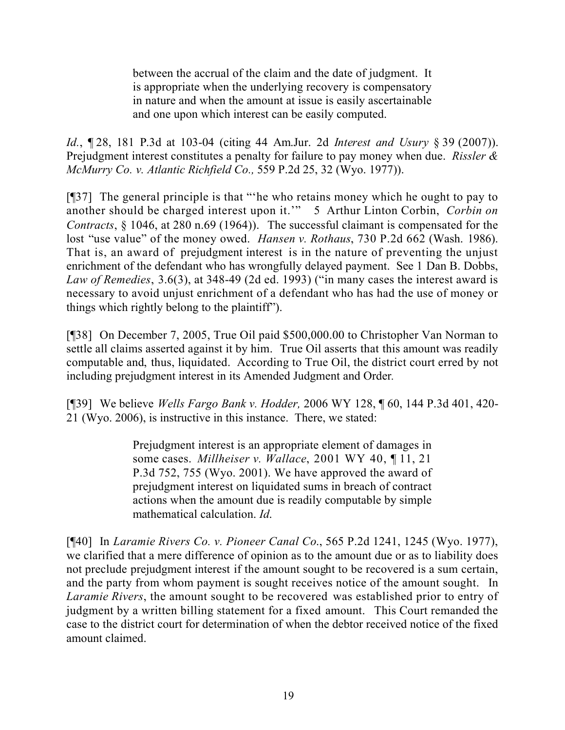between the accrual of the claim and the date of judgment. It is appropriate when the underlying recovery is compensatory in nature and when the amount at issue is easily ascertainable and one upon which interest can be easily computed.

*Id.*, ¶ 28, 181 P.3d at 103-04 (citing 44 Am.Jur. 2d *Interest and Usury* § 39 (2007)). Prejudgment interest constitutes a penalty for failure to pay money when due. *Rissler & McMurry Co. v. Atlantic Richfield Co.,* 559 P.2d 25, 32 (Wyo. 1977)).

[¶37] The general principle is that "'he who retains money which he ought to pay to another should be charged interest upon it.'" 5 Arthur Linton Corbin, *Corbin on Contracts*, § 1046, at 280 n.69 (1964)). The successful claimant is compensated for the lost "use value" of the money owed. *Hansen v. Rothaus*, 730 P.2d 662 (Wash. 1986). That is, an award of prejudgment interest is in the nature of preventing the unjust enrichment of the defendant who has wrongfully delayed payment. See 1 Dan B. Dobbs, *Law of Remedies*, 3.6(3), at 348-49 (2d ed. 1993) ("in many cases the interest award is necessary to avoid unjust enrichment of a defendant who has had the use of money or things which rightly belong to the plaintiff").

[¶38] On December 7, 2005, True Oil paid \$500,000.00 to Christopher Van Norman to settle all claims asserted against it by him. True Oil asserts that this amount was readily computable and, thus, liquidated. According to True Oil, the district court erred by not including prejudgment interest in its Amended Judgment and Order*.*

[¶39] We believe *Wells Fargo Bank v. Hodder,* 2006 WY 128, ¶ 60, 144 P.3d 401, 420- 21 (Wyo. 2006), is instructive in this instance. There, we stated:

> Prejudgment interest is an appropriate element of damages in some cases. *Millheiser v. Wallace*, 2001 WY 40, ¶ 11, 21 P.3d 752, 755 (Wyo. 2001). We have approved the award of prejudgment interest on liquidated sums in breach of contract actions when the amount due is readily computable by simple mathematical calculation. *Id*.

[¶40] In *Laramie Rivers Co. v. Pioneer Canal Co*., 565 P.2d 1241, 1245 (Wyo. 1977), we clarified that a mere difference of opinion as to the amount due or as to liability does not preclude prejudgment interest if the amount sought to be recovered is a sum certain, and the party from whom payment is sought receives notice of the amount sought. In *Laramie Rivers*, the amount sought to be recovered was established prior to entry of judgment by a written billing statement for a fixed amount. This Court remanded the case to the district court for determination of when the debtor received notice of the fixed amount claimed.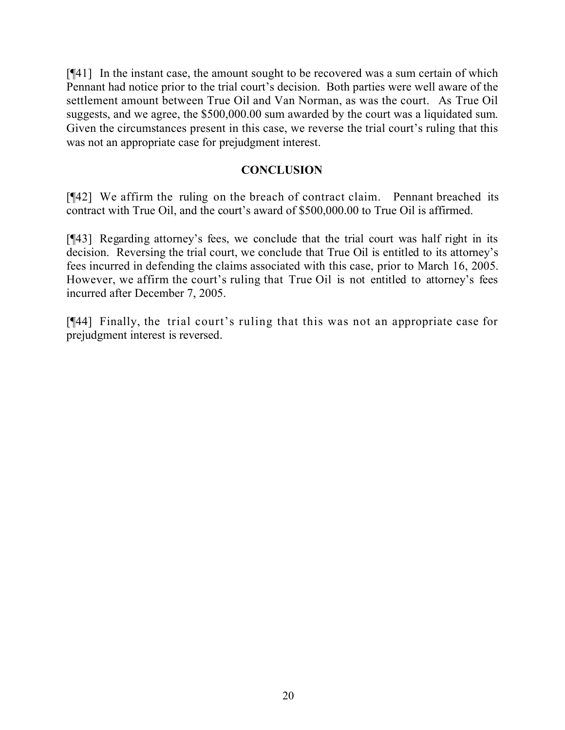[¶41] In the instant case, the amount sought to be recovered was a sum certain of which Pennant had notice prior to the trial court's decision. Both parties were well aware of the settlement amount between True Oil and Van Norman, as was the court. As True Oil suggests, and we agree, the \$500,000.00 sum awarded by the court was a liquidated sum. Given the circumstances present in this case, we reverse the trial court's ruling that this was not an appropriate case for prejudgment interest.

#### **CONCLUSION**

[¶42] We affirm the ruling on the breach of contract claim. Pennant breached its contract with True Oil, and the court's award of \$500,000.00 to True Oil is affirmed.

[¶43] Regarding attorney's fees, we conclude that the trial court was half right in its decision. Reversing the trial court, we conclude that True Oil is entitled to its attorney's fees incurred in defending the claims associated with this case, prior to March 16, 2005. However, we affirm the court's ruling that True Oil is not entitled to attorney's fees incurred after December 7, 2005.

[¶44] Finally, the trial court's ruling that this was not an appropriate case for prejudgment interest is reversed.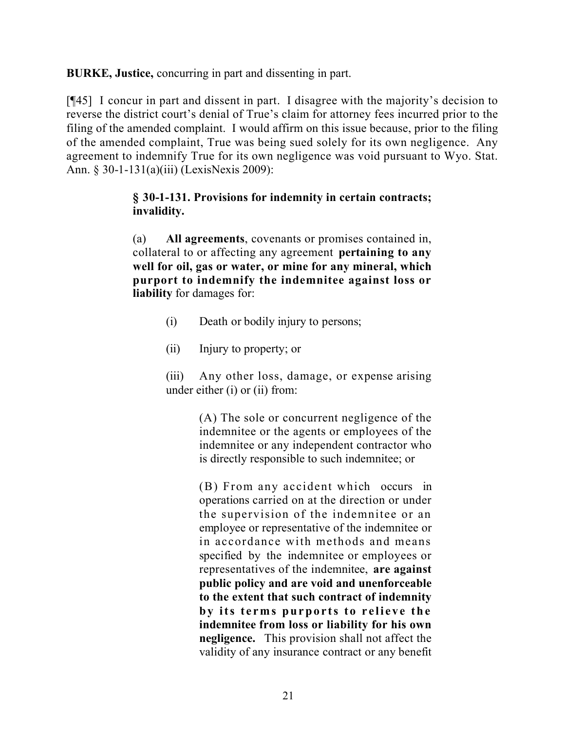**BURKE, Justice,** concurring in part and dissenting in part.

[¶45] I concur in part and dissent in part. I disagree with the majority's decision to reverse the district court's denial of True's claim for attorney fees incurred prior to the filing of the amended complaint. I would affirm on this issue because, prior to the filing of the amended complaint, True was being sued solely for its own negligence. Any agreement to indemnify True for its own negligence was void pursuant to Wyo. Stat. Ann. § 30-1-131(a)(iii) (LexisNexis 2009):

## **§ 30-1-131. Provisions for indemnity in certain contracts; invalidity.**

(a) **All agreements**, covenants or promises contained in, collateral to or affecting any agreement **pertaining to any well for oil, gas or water, or mine for any mineral, which purport to indemnify the indemnitee against loss or liability** for damages for:

- (i) Death or bodily injury to persons;
- (ii) Injury to property; or

(iii) Any other loss, damage, or expense arising under either (i) or (ii) from:

> (A) The sole or concurrent negligence of the indemnitee or the agents or employees of the indemnitee or any independent contractor who is directly responsible to such indemnitee; or

> (B) From any accident which occurs in operations carried on at the direction or under the supervision of the indemnitee or an employee or representative of the indemnitee or in accordance with methods and means specified by the indemnitee or employees or representatives of the indemnitee, **are against public policy and are void and unenforceable to the extent that such contract of indemnity by its terms purports to relieve the indemnitee from loss or liability for his own negligence.** This provision shall not affect the validity of any insurance contract or any benefit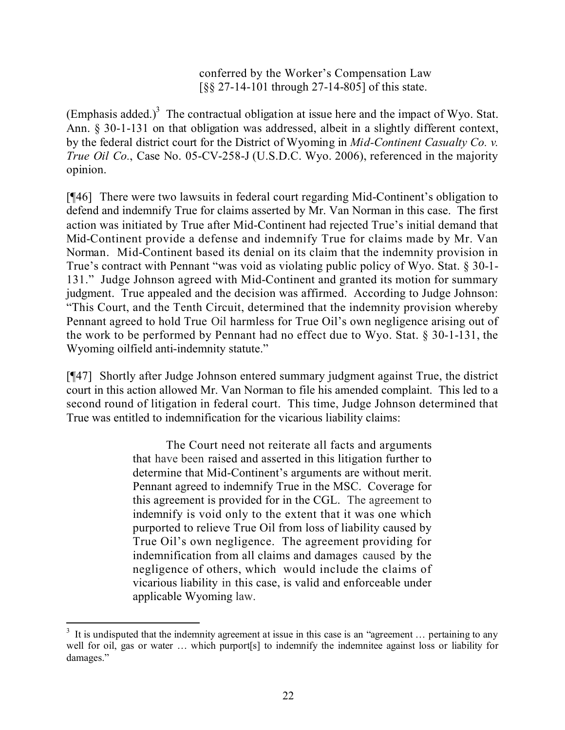conferred by the Worker's Compensation Law [§§ 27-14-101 through 27-14-805] of this state.

(Emphasis added.)<sup>3</sup> The contractual obligation at issue here and the impact of Wyo. Stat. Ann. § 30-1-131 on that obligation was addressed, albeit in a slightly different context, by the federal district court for the District of Wyoming in *Mid-Continent Casualty Co. v. True Oil Co.*, Case No. 05-CV-258-J (U.S.D.C. Wyo. 2006), referenced in the majority opinion.

[¶46] There were two lawsuits in federal court regarding Mid-Continent's obligation to defend and indemnify True for claims asserted by Mr. Van Norman in this case. The first action was initiated by True after Mid-Continent had rejected True's initial demand that Mid-Continent provide a defense and indemnify True for claims made by Mr. Van Norman. Mid-Continent based its denial on its claim that the indemnity provision in True's contract with Pennant "was void as violating public policy of Wyo. Stat. § 30-1- 131." Judge Johnson agreed with Mid-Continent and granted its motion for summary judgment. True appealed and the decision was affirmed. According to Judge Johnson: "This Court, and the Tenth Circuit, determined that the indemnity provision whereby Pennant agreed to hold True Oil harmless for True Oil's own negligence arising out of the work to be performed by Pennant had no effect due to Wyo. Stat. § 30-1-131, the Wyoming oilfield anti-indemnity statute."

[¶47] Shortly after Judge Johnson entered summary judgment against True, the district court in this action allowed Mr. Van Norman to file his amended complaint. This led to a second round of litigation in federal court. This time, Judge Johnson determined that True was entitled to indemnification for the vicarious liability claims:

> The Court need not reiterate all facts and arguments that have been raised and asserted in this litigation further to determine that Mid-Continent's arguments are without merit. Pennant agreed to indemnify True in the MSC. Coverage for this agreement is provided for in the CGL. The agreement to indemnify is void only to the extent that it was one which purported to relieve True Oil from loss of liability caused by True Oil's own negligence. The agreement providing for indemnification from all claims and damages caused by the negligence of others, which would include the claims of vicarious liability in this case, is valid and enforceable under applicable Wyoming law.

 $3\,$  It is undisputed that the indemnity agreement at issue in this case is an "agreement ... pertaining to any well for oil, gas or water ... which purport [s] to indemnity the indemnitee against loss or liability for damages."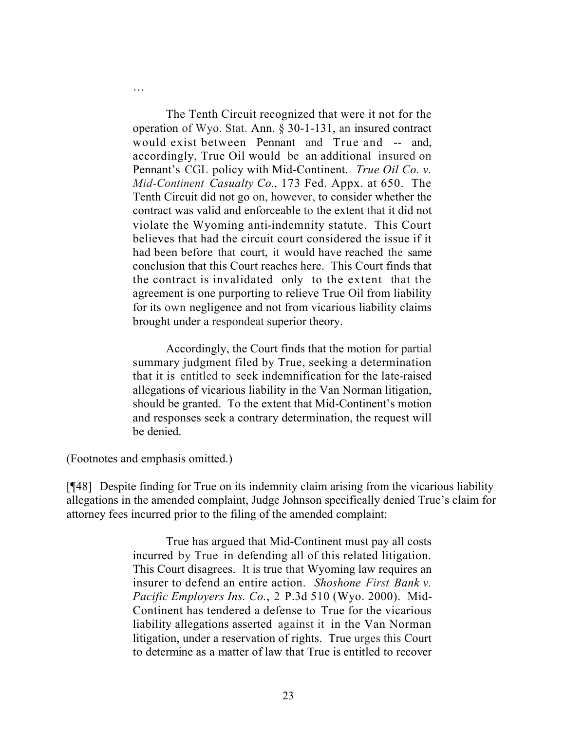The Tenth Circuit recognized that were it not for the operation of Wyo. Stat. Ann. § 30-1-131, an insured contract would exist between Pennant and True and -- and, accordingly, True Oil would be an additional insured on Pennant's CGL policy with Mid-Continent. *True Oil Co. v. Mid-Continent Casualty Co.*, 173 Fed. Appx. at 650. The Tenth Circuit did not go on, however, to consider whether the contract was valid and enforceable to the extent that it did not violate the Wyoming anti-indemnity statute. This Court believes that had the circuit court considered the issue if it had been before that court, it would have reached the same conclusion that this Court reaches here. This Court finds that the contract is invalidated only to the extent that the agreement is one purporting to relieve True Oil from liability for its own negligence and not from vicarious liability claims brought under a respondeat superior theory.

Accordingly, the Court finds that the motion for partial summary judgment filed by True, seeking a determination that it is entitled to seek indemnification for the late-raised allegations of vicarious liability in the Van Norman litigation, should be granted. To the extent that Mid-Continent's motion and responses seek a contrary determination, the request will be denied.

(Footnotes and emphasis omitted.)

…

[¶48] Despite finding for True on its indemnity claim arising from the vicarious liability allegations in the amended complaint, Judge Johnson specifically denied True's claim for attorney fees incurred prior to the filing of the amended complaint:

> True has argued that Mid-Continent must pay all costs incurred by True in defending all of this related litigation. This Court disagrees. It is true that Wyoming law requires an insurer to defend an entire action. *Shoshone First Bank v. Pacific Employers Ins. Co.*, 2 P.3d 510 (Wyo. 2000). Mid-Continent has tendered a defense to True for the vicarious liability allegations asserted against it in the Van Norman litigation, under a reservation of rights. True urges this Court to determine as a matter of law that True is entitled to recover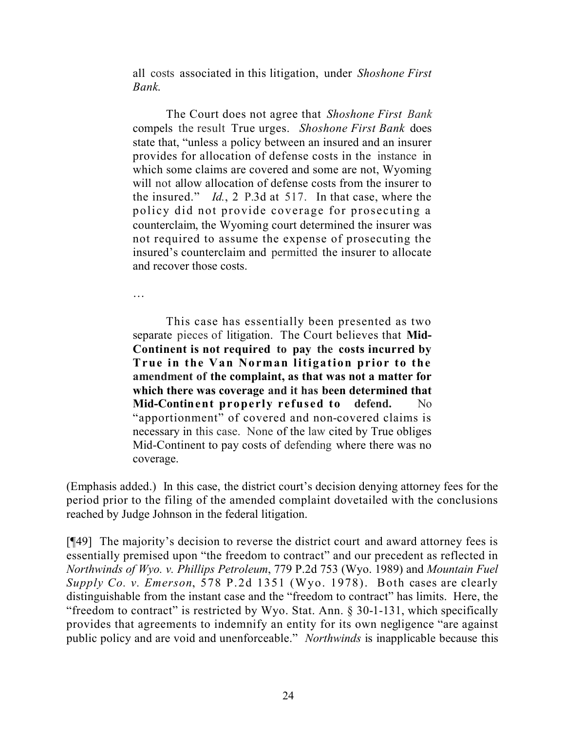all costs associated in this litigation, under *Shoshone First Bank*.

The Court does not agree that *Shoshone First Bank* compels the result True urges. *Shoshone First Bank* does state that, "unless a policy between an insured and an insurer provides for allocation of defense costs in the instance in which some claims are covered and some are not, Wyoming will not allow allocation of defense costs from the insurer to the insured." *Id.*, 2 P.3d at 517. In that case, where the policy did not provide coverage for prosecuting a counterclaim, the Wyoming court determined the insurer was not required to assume the expense of prosecuting the insured's counterclaim and permitted the insurer to allocate and recover those costs.

…

This case has essentially been presented as two separate pieces of litigation. The Court believes that **Mid-Continent is not required to pay the costs incurred by True in the Van Norman litigation prior to the amendment of the complaint, as that was not a matter for which there was coverage and it has been determined that Mid-Continent properly refused to defend.** No "apportionment" of covered and non-covered claims is necessary in this case. None of the law cited by True obliges Mid-Continent to pay costs of defending where there was no coverage.

(Emphasis added.) In this case, the district court's decision denying attorney fees for the period prior to the filing of the amended complaint dovetailed with the conclusions reached by Judge Johnson in the federal litigation.

[¶49] The majority's decision to reverse the district court and award attorney fees is essentially premised upon "the freedom to contract" and our precedent as reflected in *Northwinds of Wyo. v. Phillips Petroleum*, 779 P.2d 753 (Wyo. 1989) and *Mountain Fuel Supply Co. v. Emerson*, 578 P.2d 1351 (Wyo. 1978). Both cases are clearly distinguishable from the instant case and the "freedom to contract" has limits. Here, the "freedom to contract" is restricted by Wyo. Stat. Ann. § 30-1-131, which specifically provides that agreements to indemnify an entity for its own negligence "are against public policy and are void and unenforceable." *Northwinds* is inapplicable because this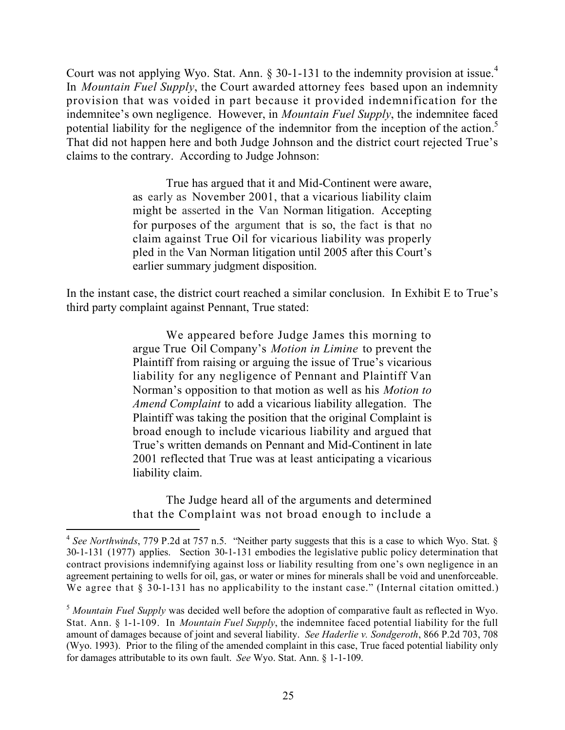Court was not applying Wyo. Stat. Ann.  $\S 30$ -1-131 to the indemnity provision at issue.<sup>4</sup> In *Mountain Fuel Supply*, the Court awarded attorney fees based upon an indemnity provision that was voided in part because it provided indemnification for the indemnitee's own negligence. However, in *Mountain Fuel Supply*, the indemnitee faced potential liability for the negligence of the indemnitor from the inception of the action.<sup>5</sup> That did not happen here and both Judge Johnson and the district court rejected True's claims to the contrary. According to Judge Johnson:

> True has argued that it and Mid-Continent were aware, as early as November 2001, that a vicarious liability claim might be asserted in the Van Norman litigation. Accepting for purposes of the argument that is so, the fact is that no claim against True Oil for vicarious liability was properly pled in the Van Norman litigation until 2005 after this Court's earlier summary judgment disposition.

In the instant case, the district court reached a similar conclusion. In Exhibit E to True's third party complaint against Pennant, True stated:

> We appeared before Judge James this morning to argue True Oil Company's *Motion in Limine* to prevent the Plaintiff from raising or arguing the issue of True's vicarious liability for any negligence of Pennant and Plaintiff Van Norman's opposition to that motion as well as his *Motion to Amend Complaint* to add a vicarious liability allegation. The Plaintiff was taking the position that the original Complaint is broad enough to include vicarious liability and argued that True's written demands on Pennant and Mid-Continent in late 2001 reflected that True was at least anticipating a vicarious liability claim.

> The Judge heard all of the arguments and determined that the Complaint was not broad enough to include a

<sup>4</sup> *See Northwinds*, 779 P.2d at 757 n.5. "Neither party suggests that this is a case to which Wyo. Stat. § 30-1-131 (1977) applies. Section 30-1-131 embodies the legislative public policy determination that contract provisions indemnifying against loss or liability resulting from one's own negligence in an agreement pertaining to wells for oil, gas, or water or mines for minerals shall be void and unenforceable. We agree that § 30-1-131 has no applicability to the instant case." (Internal citation omitted.)

<sup>5</sup> *Mountain Fuel Supply* was decided well before the adoption of comparative fault as reflected in Wyo. Stat. Ann. § 1-1-109. In *Mountain Fuel Supply*, the indemnitee faced potential liability for the full amount of damages because of joint and several liability. *See Haderlie v. Sondgeroth*, 866 P.2d 703, 708 (Wyo. 1993). Prior to the filing of the amended complaint in this case, True faced potential liability only for damages attributable to its own fault. *See* Wyo. Stat. Ann. § 1-1-109.